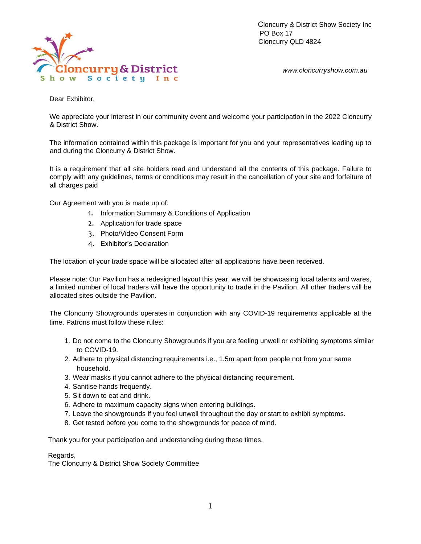

Cloncurry & District Show Society Inc PO Box 17 Cloncurry QLD 4824

*www.cloncurryshow.com.au* 

Dear Exhibitor,

We appreciate your interest in our community event and welcome your participation in the 2022 Cloncurry & District Show.

The information contained within this package is important for you and your representatives leading up to and during the Cloncurry & District Show.

It is a requirement that all site holders read and understand all the contents of this package. Failure to comply with any guidelines, terms or conditions may result in the cancellation of your site and forfeiture of all charges paid

Our Agreement with you is made up of:

- 1. Information Summary & Conditions of Application
- 2. Application for trade space
- 3. Photo/Video Consent Form
- 4. Exhibitor's Declaration

The location of your trade space will be allocated after all applications have been received.

Please note: Our Pavilion has a redesigned layout this year, we will be showcasing local talents and wares, a limited number of local traders will have the opportunity to trade in the Pavilion. All other traders will be allocated sites outside the Pavilion.

The Cloncurry Showgrounds operates in conjunction with any COVID-19 requirements applicable at the time. Patrons must follow these rules:

- 1. Do not come to the Cloncurry Showgrounds if you are feeling unwell or exhibiting symptoms similar to COVID-19.
- 2. Adhere to physical distancing requirements i.e., 1.5m apart from people not from your same household.
- 3. Wear masks if you cannot adhere to the physical distancing requirement.
- 4. Sanitise hands frequently.
- 5. Sit down to eat and drink.
- 6. Adhere to maximum capacity signs when entering buildings.
- 7. Leave the showgrounds if you feel unwell throughout the day or start to exhibit symptoms.
- 8. Get tested before you come to the showgrounds for peace of mind.

Thank you for your participation and understanding during these times.

Regards,

The Cloncurry & District Show Society Committee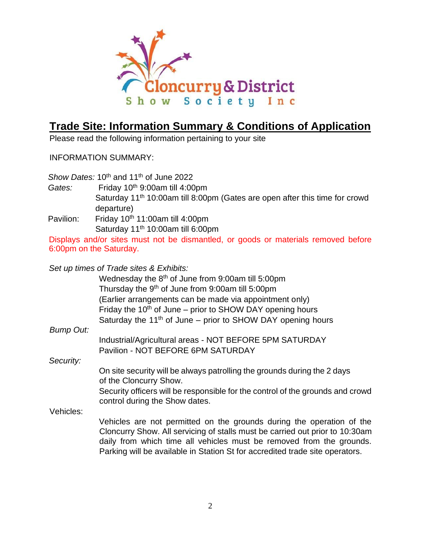

# **Trade Site: Information Summary & Conditions of Application**

Please read the following information pertaining to your site

INFORMATION SUMMARY:

Show Dates: 10<sup>th</sup> and 11<sup>th</sup> of June 2022 Gates: Friday 10<sup>th</sup> 9:00am till 4:00pm Saturday 11<sup>th</sup> 10:00am till 8:00pm (Gates are open after this time for crowd departure) Pavilion: Friday 10<sup>th</sup> 11:00am till 4:00pm Saturday 11<sup>th</sup> 10:00am till 6:00pm Displays and/or sites must not be dismantled, or goods or materials removed before 6:00pm on the Saturday. *Set up times of Trade sites & Exhibits:*  Wednesday the 8<sup>th</sup> of June from 9:00am till 5:00pm Thursday the 9<sup>th</sup> of June from 9:00am till 5:00pm (Earlier arrangements can be made via appointment only) Friday the  $10<sup>th</sup>$  of June – prior to SHOW DAY opening hours Saturday the 11<sup>th</sup> of June – prior to SHOW DAY opening hours *Bump Out:*  Industrial/Agricultural areas - NOT BEFORE 5PM SATURDAY Pavilion - NOT BEFORE 6PM SATURDAY *Security:*  On site security will be always patrolling the grounds during the 2 days of the Cloncurry Show. Security officers will be responsible for the control of the grounds and crowd control during the Show dates. Vehicles: Vehicles are not permitted on the grounds during the operation of the Cloncurry Show. All servicing of stalls must be carried out prior to 10:30am daily from which time all vehicles must be removed from the grounds. Parking will be available in Station St for accredited trade site operators.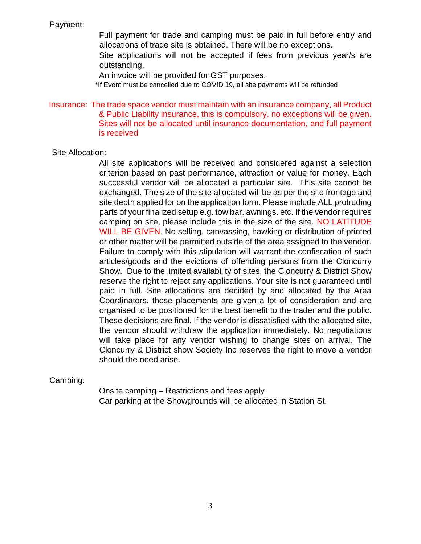#### Payment:

Full payment for trade and camping must be paid in full before entry and allocations of trade site is obtained. There will be no exceptions.

Site applications will not be accepted if fees from previous year/s are outstanding.

An invoice will be provided for GST purposes.

\*If Event must be cancelled due to COVID 19, all site payments will be refunded

#### Insurance: The trade space vendor must maintain with an insurance company, all Product & Public Liability insurance, this is compulsory, no exceptions will be given. Sites will not be allocated until insurance documentation, and full payment is received

#### Site Allocation:

All site applications will be received and considered against a selection criterion based on past performance, attraction or value for money. Each successful vendor will be allocated a particular site. This site cannot be exchanged. The size of the site allocated will be as per the site frontage and site depth applied for on the application form. Please include ALL protruding parts of your finalized setup e.g. tow bar, awnings. etc. If the vendor requires camping on site, please include this in the size of the site. NO LATITUDE WILL BE GIVEN. No selling, canvassing, hawking or distribution of printed or other matter will be permitted outside of the area assigned to the vendor. Failure to comply with this stipulation will warrant the confiscation of such articles/goods and the evictions of offending persons from the Cloncurry Show. Due to the limited availability of sites, the Cloncurry & District Show reserve the right to reject any applications. Your site is not guaranteed until paid in full. Site allocations are decided by and allocated by the Area Coordinators, these placements are given a lot of consideration and are organised to be positioned for the best benefit to the trader and the public. These decisions are final. If the vendor is dissatisfied with the allocated site, the vendor should withdraw the application immediately. No negotiations will take place for any vendor wishing to change sites on arrival. The Cloncurry & District show Society Inc reserves the right to move a vendor should the need arise.

Camping:

Onsite camping – Restrictions and fees apply Car parking at the Showgrounds will be allocated in Station St.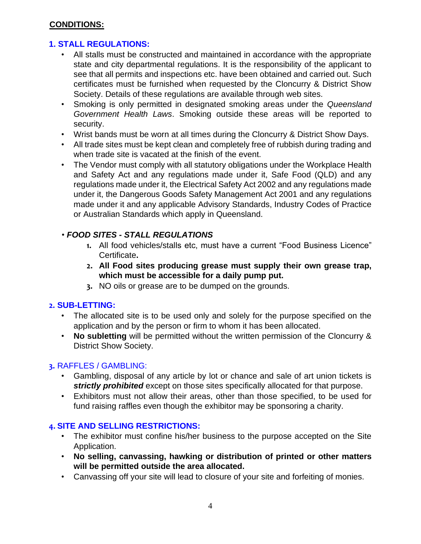#### **CONDITIONS:**

## **1. STALL REGULATIONS:**

- All stalls must be constructed and maintained in accordance with the appropriate state and city departmental regulations. It is the responsibility of the applicant to see that all permits and inspections etc. have been obtained and carried out. Such certificates must be furnished when requested by the Cloncurry & District Show Society. Details of these regulations are available through web sites.
- Smoking is only permitted in designated smoking areas under the *Queensland Government Health Laws*. Smoking outside these areas will be reported to security.
- Wrist bands must be worn at all times during the Cloncurry & District Show Days.
- All trade sites must be kept clean and completely free of rubbish during trading and when trade site is vacated at the finish of the event.
- The Vendor must comply with all statutory obligations under the Workplace Health and Safety Act and any regulations made under it, Safe Food (QLD) and any regulations made under it, the Electrical Safety Act 2002 and any regulations made under it, the Dangerous Goods Safety Management Act 2001 and any regulations made under it and any applicable Advisory Standards, Industry Codes of Practice or Australian Standards which apply in Queensland.

# • *FOOD SITES - STALL REGULATIONS*

- **1.** All food vehicles/stalls etc, must have a current "Food Business Licence" Certificate**.**
- **2. All Food sites producing grease must supply their own grease trap, which must be accessible for a daily pump put.**
- **3.** NO oils or grease are to be dumped on the grounds.

#### **2. SUB-LETTING:**

- The allocated site is to be used only and solely for the purpose specified on the application and by the person or firm to whom it has been allocated.
- **No subletting** will be permitted without the written permission of the Cloncurry & District Show Society.

## **3.** RAFFLES / GAMBLING:

- Gambling, disposal of any article by lot or chance and sale of art union tickets is *strictly prohibited* except on those sites specifically allocated for that purpose.
- Exhibitors must not allow their areas, other than those specified, to be used for fund raising raffles even though the exhibitor may be sponsoring a charity.

#### **4. SITE AND SELLING RESTRICTIONS:**

- The exhibitor must confine his/her business to the purpose accepted on the Site Application.
- **No selling, canvassing, hawking or distribution of printed or other matters will be permitted outside the area allocated.**
- Canvassing off your site will lead to closure of your site and forfeiting of monies.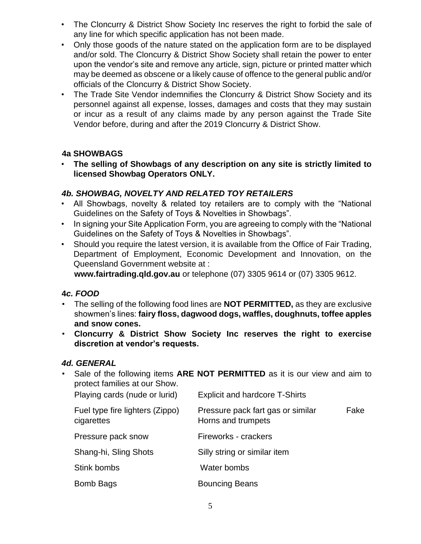- The Cloncurry & District Show Society Inc reserves the right to forbid the sale of any line for which specific application has not been made.
- Only those goods of the nature stated on the application form are to be displayed and/or sold. The Cloncurry & District Show Society shall retain the power to enter upon the vendor's site and remove any article, sign, picture or printed matter which may be deemed as obscene or a likely cause of offence to the general public and/or officials of the Cloncurry & District Show Society.
- The Trade Site Vendor indemnifies the Cloncurry & District Show Society and its personnel against all expense, losses, damages and costs that they may sustain or incur as a result of any claims made by any person against the Trade Site Vendor before, during and after the 2019 Cloncurry & District Show.

# **4a SHOWBAGS**

• **The selling of Showbags of any description on any site is strictly limited to licensed Showbag Operators ONLY.**

## *4b. SHOWBAG, NOVELTY AND RELATED TOY RETAILERS*

- All Showbags, novelty & related toy retailers are to comply with the "National Guidelines on the Safety of Toys & Novelties in Showbags".
- In signing your Site Application Form, you are agreeing to comply with the "National Guidelines on the Safety of Toys & Novelties in Showbags".
- Should you require the latest version, it is available from the Office of Fair Trading, Department of Employment, Economic Development and Innovation, on the Queensland Government website at :

**www.fairtrading.qld.gov.au** or telephone (07) 3305 9614 or (07) 3305 9612.

# **4***c. FOOD*

- The selling of the following food lines are **NOT PERMITTED,** as they are exclusive showmen's lines: **fairy floss, dagwood dogs, waffles, doughnuts, toffee apples and snow cones.**
- **Cloncurry & District Show Society Inc reserves the right to exercise discretion at vendor's requests.**

## *4d. GENERAL*

• Sale of the following items **ARE NOT PERMITTED** as it is our view and aim to protect families at our Show. Playing cards (nude or lurid) Explicit and hardcore T-Shirts Fuel type fire lighters (Zippo) Pressure pack fart gas or similar Fake cigarettes **Horns** and trumpets Pressure pack snow Fireworks - crackers Shang-hi, Sling Shots Silly string or similar item Stink bombs Water bombs Bomb Bags Bouncing Beans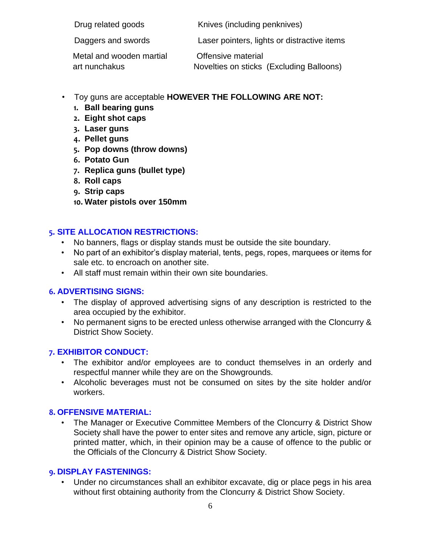Drug related goods Knives (including penknives)

Daggers and swords **Laser pointers, lights or distractive items** 

Metal and wooden martial **Offensive material** 

art nunchakus Novelties on sticks (Excluding Balloons)

- Toy guns are acceptable **HOWEVER THE FOLLOWING ARE NOT:**
	- **1. Ball bearing guns**
	- **2. Eight shot caps**
	- **3. Laser guns**
	- **4. Pellet guns**
	- **5. Pop downs (throw downs)**
	- **6. Potato Gun**
	- **7. Replica guns (bullet type)**
	- **8. Roll caps**
	- **9. Strip caps**
	- **10. Water pistols over 150mm**

# **5. SITE ALLOCATION RESTRICTIONS:**

- No banners, flags or display stands must be outside the site boundary.
- No part of an exhibitor's display material, tents, pegs, ropes, marquees or items for sale etc. to encroach on another site.
- All staff must remain within their own site boundaries.

# **6. ADVERTISING SIGNS:**

- The display of approved advertising signs of any description is restricted to the area occupied by the exhibitor.
- No permanent signs to be erected unless otherwise arranged with the Cloncurry & District Show Society.

## **7. EXHIBITOR CONDUCT:**

- The exhibitor and/or employees are to conduct themselves in an orderly and respectful manner while they are on the Showgrounds.
- Alcoholic beverages must not be consumed on sites by the site holder and/or workers.

# **8. OFFENSIVE MATERIAL:**

• The Manager or Executive Committee Members of the Cloncurry & District Show Society shall have the power to enter sites and remove any article, sign, picture or printed matter, which, in their opinion may be a cause of offence to the public or the Officials of the Cloncurry & District Show Society.

## **9. DISPLAY FASTENINGS:**

• Under no circumstances shall an exhibitor excavate, dig or place pegs in his area without first obtaining authority from the Cloncurry & District Show Society.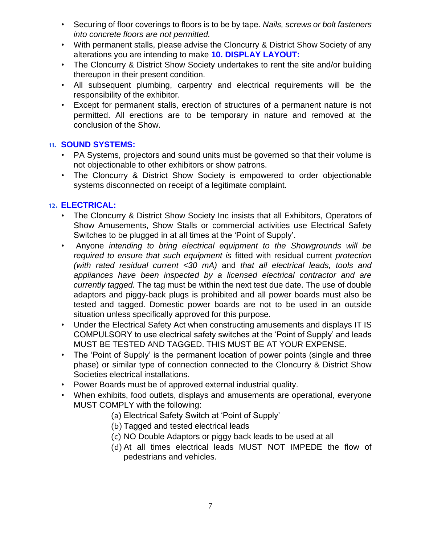- Securing of floor coverings to floors is to be by tape. *Nails, screws or bolt fasteners into concrete floors are not permitted.*
- With permanent stalls, please advise the Cloncurry & District Show Society of any alterations you are intending to make **10. DISPLAY LAYOUT:**
- The Cloncurry & District Show Society undertakes to rent the site and/or building thereupon in their present condition.
- All subsequent plumbing, carpentry and electrical requirements will be the responsibility of the exhibitor.
- Except for permanent stalls, erection of structures of a permanent nature is not permitted. All erections are to be temporary in nature and removed at the conclusion of the Show.

# **11. SOUND SYSTEMS:**

- PA Systems, projectors and sound units must be governed so that their volume is not objectionable to other exhibitors or show patrons.
- The Cloncurry & District Show Society is empowered to order objectionable systems disconnected on receipt of a legitimate complaint.

# **12. ELECTRICAL:**

- The Cloncurry & District Show Society Inc insists that all Exhibitors, Operators of Show Amusements, Show Stalls or commercial activities use Electrical Safety Switches to be plugged in at all times at the 'Point of Supply'.
- Anyone *intending to bring electrical equipment to the Showgrounds will be required to ensure that such equipment is* fitted with residual current *protection (with rated residual current <30 mA)* and *that all electrical leads, tools and appliances have been inspected by a licensed electrical contractor and are currently tagged.* The tag must be within the next test due date. The use of double adaptors and piggy-back plugs is prohibited and all power boards must also be tested and tagged. Domestic power boards are not to be used in an outside situation unless specifically approved for this purpose.
- Under the Electrical Safety Act when constructing amusements and displays IT IS COMPULSORY to use electrical safety switches at the 'Point of Supply' and leads MUST BE TESTED AND TAGGED. THIS MUST BE AT YOUR EXPENSE.
- The 'Point of Supply' is the permanent location of power points (single and three phase) or similar type of connection connected to the Cloncurry & District Show Societies electrical installations.
- Power Boards must be of approved external industrial quality.
- When exhibits, food outlets, displays and amusements are operational, everyone MUST COMPLY with the following:
	- (a) Electrical Safety Switch at 'Point of Supply'
	- (b) Tagged and tested electrical leads
	- (c) NO Double Adaptors or piggy back leads to be used at all
	- (d) At all times electrical leads MUST NOT IMPEDE the flow of pedestrians and vehicles.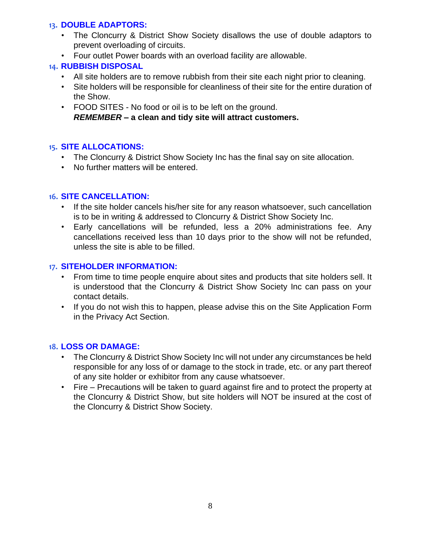#### **13. DOUBLE ADAPTORS:**

- The Cloncurry & District Show Society disallows the use of double adaptors to prevent overloading of circuits.
- Four outlet Power boards with an overload facility are allowable.

## **14. RUBBISH DISPOSAL**

- All site holders are to remove rubbish from their site each night prior to cleaning.
- Site holders will be responsible for cleanliness of their site for the entire duration of the Show.
- FOOD SITES No food or oil is to be left on the ground. *REMEMBER –* **a clean and tidy site will attract customers.**

## **15. SITE ALLOCATIONS:**

- The Cloncurry & District Show Society Inc has the final say on site allocation.
- No further matters will be entered.

#### **16. SITE CANCELLATION:**

- If the site holder cancels his/her site for any reason whatsoever, such cancellation is to be in writing & addressed to Cloncurry & District Show Society Inc.
- Early cancellations will be refunded, less a 20% administrations fee. Any cancellations received less than 10 days prior to the show will not be refunded, unless the site is able to be filled.

#### **17. SITEHOLDER INFORMATION:**

- From time to time people enquire about sites and products that site holders sell. It is understood that the Cloncurry & District Show Society Inc can pass on your contact details.
- If you do not wish this to happen, please advise this on the Site Application Form in the Privacy Act Section.

## **18. LOSS OR DAMAGE:**

- The Cloncurry & District Show Society Inc will not under any circumstances be held responsible for any loss of or damage to the stock in trade, etc. or any part thereof of any site holder or exhibitor from any cause whatsoever.
- Fire Precautions will be taken to guard against fire and to protect the property at the Cloncurry & District Show, but site holders will NOT be insured at the cost of the Cloncurry & District Show Society.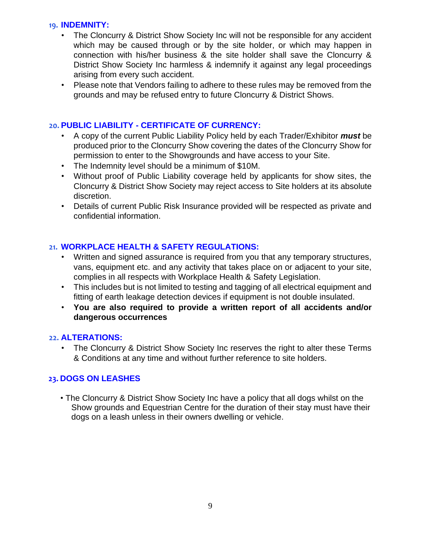#### **19. INDEMNITY:**

- The Cloncurry & District Show Society Inc will not be responsible for any accident which may be caused through or by the site holder, or which may happen in connection with his/her business & the site holder shall save the Cloncurry & District Show Society Inc harmless & indemnify it against any legal proceedings arising from every such accident.
- Please note that Vendors failing to adhere to these rules may be removed from the grounds and may be refused entry to future Cloncurry & District Shows.

#### **20. PUBLIC LIABILITY - CERTIFICATE OF CURRENCY:**

- A copy of the current Public Liability Policy held by each Trader/Exhibitor *must* be produced prior to the Cloncurry Show covering the dates of the Cloncurry Show for permission to enter to the Showgrounds and have access to your Site.
- The Indemnity level should be a minimum of \$10M.
- Without proof of Public Liability coverage held by applicants for show sites, the Cloncurry & District Show Society may reject access to Site holders at its absolute discretion.
- Details of current Public Risk Insurance provided will be respected as private and confidential information.

## **21. WORKPLACE HEALTH & SAFETY REGULATIONS:**

- Written and signed assurance is required from you that any temporary structures, vans, equipment etc. and any activity that takes place on or adjacent to your site, complies in all respects with Workplace Health & Safety Legislation.
- This includes but is not limited to testing and tagging of all electrical equipment and fitting of earth leakage detection devices if equipment is not double insulated.
- **You are also required to provide a written report of all accidents and/or dangerous occurrences**

#### **22. ALTERATIONS:**

• The Cloncurry & District Show Society Inc reserves the right to alter these Terms & Conditions at any time and without further reference to site holders.

## **23. DOGS ON LEASHES**

• The Cloncurry & District Show Society Inc have a policy that all dogs whilst on the Show grounds and Equestrian Centre for the duration of their stay must have their dogs on a leash unless in their owners dwelling or vehicle.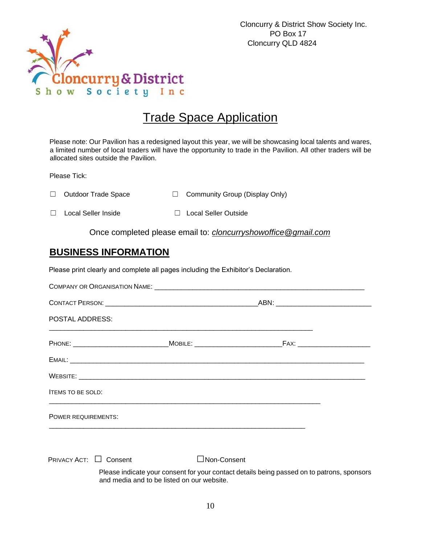

# Trade Space Application

Please note: Our Pavilion has a redesigned layout this year, we will be showcasing local talents and wares, a limited number of local traders will have the opportunity to trade in the Pavilion. All other traders will be allocated sites outside the Pavilion.

Please Tick:

| □ Outdoor Trade Space | □ Community Group (Display Only) |
|-----------------------|----------------------------------|
|                       |                                  |

☐ Local Seller Inside ☐ Local Seller Outside

Once completed please email to: *cloncurryshowoffice@gmail.com*

# **BUSINESS INFORMATION**

Please print clearly and complete all pages including the Exhibitor's Declaration.

| <b>POSTAL ADDRESS:</b>   |             |  |  |  |
|--------------------------|-------------|--|--|--|
|                          |             |  |  |  |
|                          |             |  |  |  |
|                          |             |  |  |  |
| <b>ITEMS TO BE SOLD:</b> |             |  |  |  |
| POWER REQUIREMENTS:      |             |  |  |  |
| PRIVACY ACT: □ Consent   | Non-Consent |  |  |  |

Please indicate your consent for your contact details being passed on to patrons, sponsors and media and to be listed on our website.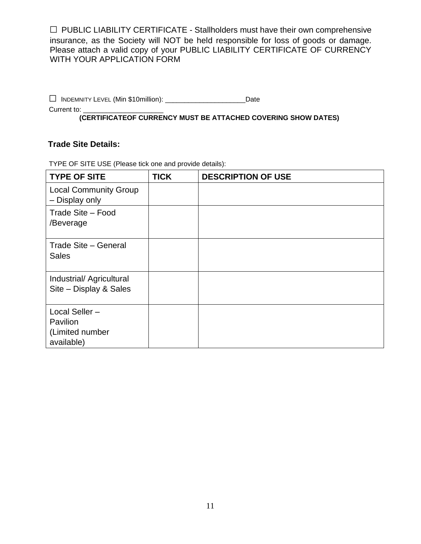$\Box$  PUBLIC LIABILITY CERTIFICATE - Stallholders must have their own comprehensive insurance, as the Society will NOT be held responsible for loss of goods or damage. Please attach a valid copy of your PUBLIC LIABILITY CERTIFICATE OF CURRENCY WITH YOUR APPLICATION FORM

□ <sup>I</sup>NDEMNITY LEVEL (Min \$10million): \_\_\_\_\_\_\_\_\_\_\_\_\_\_\_\_\_\_\_\_\_Date

Current to:

**(CERTIFICATEOF CURRENCY MUST BE ATTACHED COVERING SHOW DATES)** 

#### **Trade Site Details:**

TYPE OF SITE USE (Please tick one and provide details):

| <b>TYPE OF SITE</b>                                        | <b>TICK</b> | <b>DESCRIPTION OF USE</b> |
|------------------------------------------------------------|-------------|---------------------------|
| <b>Local Community Group</b><br>- Display only             |             |                           |
| Trade Site - Food<br>/Beverage                             |             |                           |
| Trade Site - General<br><b>Sales</b>                       |             |                           |
| Industrial/ Agricultural<br>Site - Display & Sales         |             |                           |
| Local Seller-<br>Pavilion<br>(Limited number<br>available) |             |                           |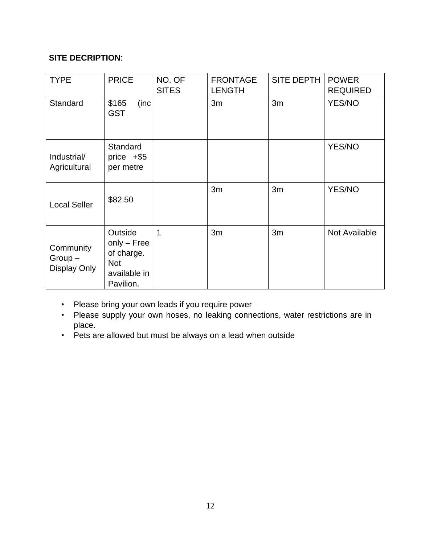# **SITE DECRIPTION**:

| <b>TYPE</b>                           | <b>PRICE</b>                                                                      | NO. OF<br><b>SITES</b> | <b>FRONTAGE</b><br><b>LENGTH</b> | <b>SITE DEPTH</b> | <b>POWER</b><br><b>REQUIRED</b> |
|---------------------------------------|-----------------------------------------------------------------------------------|------------------------|----------------------------------|-------------------|---------------------------------|
| Standard                              | \$165<br>(inc<br><b>GST</b>                                                       |                        | 3m                               | 3m                | YES/NO                          |
| Industrial/<br>Agricultural           | Standard<br>price $+$ \$5<br>per metre                                            |                        |                                  |                   | YES/NO                          |
| <b>Local Seller</b>                   | \$82.50                                                                           |                        | 3m                               | 3m                | <b>YES/NO</b>                   |
| Community<br>$Group-$<br>Display Only | Outside<br>$only - Free$<br>of charge.<br><b>Not</b><br>available in<br>Pavilion. | 1                      | 3m                               | 3m                | Not Available                   |

- Please bring your own leads if you require power
- Please supply your own hoses, no leaking connections, water restrictions are in place.
- Pets are allowed but must be always on a lead when outside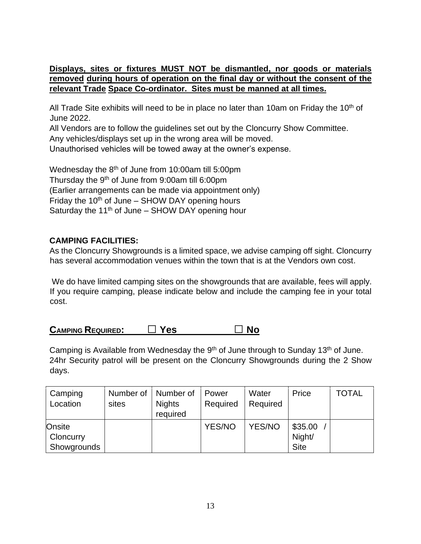#### **Displays, sites or fixtures MUST NOT be dismantled, nor goods or materials removed during hours of operation on the final day or without the consent of the relevant Trade Space Co-ordinator. Sites must be manned at all times.**

All Trade Site exhibits will need to be in place no later than 10am on Friday the 10<sup>th</sup> of June 2022.

All Vendors are to follow the guidelines set out by the Cloncurry Show Committee. Any vehicles/displays set up in the wrong area will be moved. Unauthorised vehicles will be towed away at the owner's expense.

Wednesday the 8<sup>th</sup> of June from 10:00am till 5:00pm Thursday the 9<sup>th</sup> of June from 9:00am till 6:00pm (Earlier arrangements can be made via appointment only) Friday the  $10<sup>th</sup>$  of June – SHOW DAY opening hours Saturday the  $11<sup>th</sup>$  of June – SHOW DAY opening hour

## **CAMPING FACILITIES:**

As the Cloncurry Showgrounds is a limited space, we advise camping off sight. Cloncurry has several accommodation venues within the town that is at the Vendors own cost.

We do have limited camping sites on the showgrounds that are available, fees will apply. If you require camping, please indicate below and include the camping fee in your total cost.

| <b>CAMPING REQUIRED:</b> | $\Box$ Yes | $\Box$ No |
|--------------------------|------------|-----------|
|                          |            |           |

Camping is Available from Wednesday the  $9<sup>th</sup>$  of June through to Sunday 13<sup>th</sup> of June. 24hr Security patrol will be present on the Cloncurry Showgrounds during the 2 Show days.

| Camping<br>Location                | Number of<br>sites | Number of<br><b>Nights</b><br>required | Power<br>Required | Water<br>Required | Price                            | TOTAL |
|------------------------------------|--------------------|----------------------------------------|-------------------|-------------------|----------------------------------|-------|
| Onsite<br>Cloncurry<br>Showgrounds |                    |                                        | YES/NO            | YES/NO            | \$35.00<br>Night/<br><b>Site</b> |       |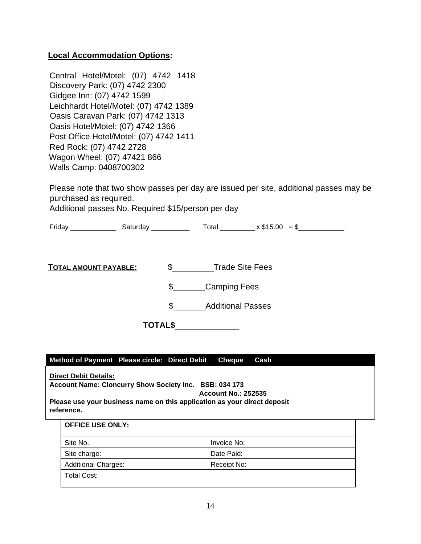#### **Local Accommodation Options:**

Central Hotel/Motel: (07) 4742 1418 Discovery Park: (07) 4742 2300 Gidgee Inn: (07) 4742 1599 Leichhardt Hotel/Motel: (07) 4742 1389 Oasis Caravan Park: (07) 4742 1313 Oasis Hotel/Motel: (07) 4742 1366 Post Office Hotel/Motel: (07) 4742 1411 Red Rock: (07) 4742 2728 Wagon Wheel: (07) 47421 866 Walls Camp: 0408700302

Please note that two show passes per day are issued per site, additional passes may be purchased as required.

Additional passes No. Required \$15/person per day

Friday \_\_\_\_\_\_\_\_\_\_\_\_ Saturday \_\_\_\_\_\_\_\_\_\_ Total \_\_\_\_\_\_\_\_\_ x \$15.00 = \$\_\_\_\_\_\_\_\_\_\_\_\_

**TOTAL AMOUNT PAYABLE:** \$\_\_\_\_\_\_\_\_\_Trade Site Fees

\$\_\_\_\_\_\_\_Camping Fees

\$ Additional Passes

**TOTAL\$**\_\_\_\_\_\_\_\_\_\_\_\_\_\_

**Method of Payment Please circle: Direct Debit Cheque Cash** 

**Direct Debit Details: Account Name: Cloncurry Show Society Inc. BSB: 034 173 Account No.: 252535 Please use your business name on this application as your direct deposit reference.** 

#### **OFFICE USE ONLY:**

| Site No.                   | Invoice No: |
|----------------------------|-------------|
| Site charge:               | Date Paid:  |
| <b>Additional Charges:</b> | Receipt No: |
| <b>Total Cost:</b>         |             |
|                            |             |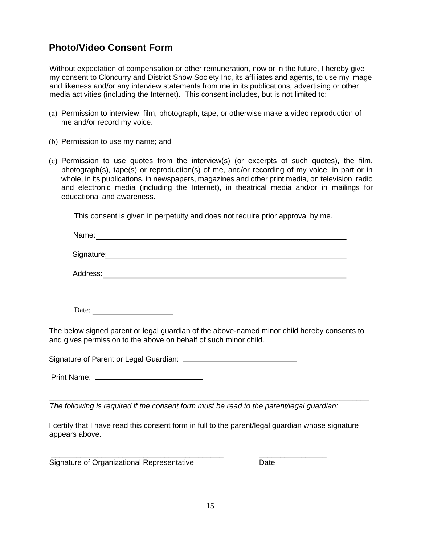# **Photo/Video Consent Form**

Without expectation of compensation or other remuneration, now or in the future, I hereby give my consent to Cloncurry and District Show Society Inc, its affiliates and agents, to use my image and likeness and/or any interview statements from me in its publications, advertising or other media activities (including the Internet). This consent includes, but is not limited to:

- (a) Permission to interview, film, photograph, tape, or otherwise make a video reproduction of me and/or record my voice.
- (b) Permission to use my name; and
- (c) Permission to use quotes from the interview(s) (or excerpts of such quotes), the film, photograph(s), tape(s) or reproduction(s) of me, and/or recording of my voice, in part or in whole, in its publications, in newspapers, magazines and other print media, on television, radio and electronic media (including the Internet), in theatrical media and/or in mailings for educational and awareness.

This consent is given in perpetuity and does not require prior approval by me.

| Name:      |  |  |
|------------|--|--|
| Signature: |  |  |
| Address:   |  |  |
|            |  |  |
| Date:      |  |  |

The below signed parent or legal guardian of the above-named minor child hereby consents to and gives permission to the above on behalf of such minor child.

Signature of Parent or Legal Guardian:

Print Name:

*The following is required if the consent form must be read to the parent/legal guardian:* 

\_\_\_\_\_\_\_\_\_\_\_\_\_\_\_\_\_\_\_\_\_\_\_\_\_\_\_\_\_\_\_\_\_\_\_\_\_\_\_\_\_ \_\_\_\_\_\_\_\_\_\_\_\_\_\_\_\_

I certify that I have read this consent form in full to the parent/legal guardian whose signature appears above.

\_\_\_\_\_\_\_\_\_\_\_\_\_\_\_\_\_\_\_\_\_\_\_\_\_\_\_\_\_\_\_\_\_\_\_\_\_\_\_\_\_\_\_\_\_\_\_\_\_\_\_\_\_\_\_\_\_\_\_\_\_\_\_\_\_\_\_\_\_\_\_\_\_\_\_\_

Signature of Organizational Representative **Date** Date